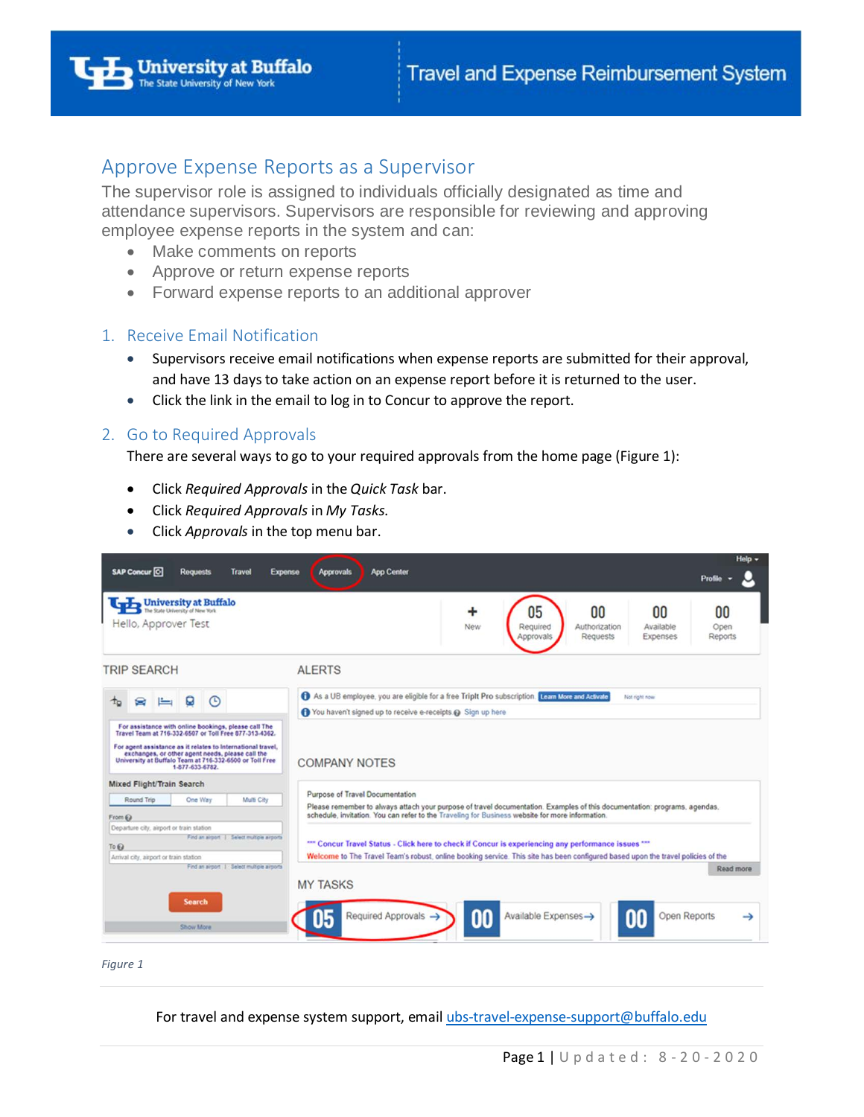

# Approve Expense Reports as a Supervisor

The supervisor role is assigned to individuals officially designated as time and attendance supervisors. Supervisors are responsible for reviewing and approving employee expense reports in the system and can:

- Make comments on reports
- Approve or return expense reports
- Forward expense reports to an additional approver

## 1. Receive Email Notification

- Supervisors receive email notifications when expense reports are submitted for their approval, and have 13 days to take action on an expense report before it is returned to the user.
- Click the link in the email to log in to Concur to approve the report.

## 2. Go to Required Approvals

There are several ways to go to your required approvals from the home page (Figure 1):

- Click *Required Approvals* in the *Quick Task* bar.
- Click *Required Approvals* in *My Tasks*.
- Click *Approvals* in the top menu bar.



*Figure 1* 

For travel and expense system support, email [ubs-travel-expense-support@buffalo.edu](mailto:ubs-travel-expense-support@buffalo.edu)